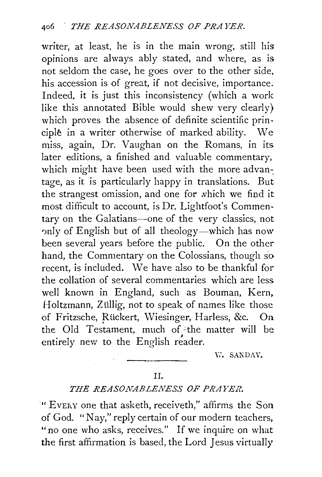writer, at least, he is in the main wrong. still his opinions are always ably stated, and where, as is not seldom the case, he goes over to the other side, his accession is of great, if not decisive, importance. Indeed, it is just this inconsistency (which a work like this annotated Bible would shew very clearly) which proves the absence of definite scientific principle in a writer otherwise of marked ability. We miss, again, Dr. Vaughan on the Romans, in its later editions, a finished and valuable commentary, which might have been used with the more advantage, as it is particularly happy in translations. But the strangest omission, and one for which we find it most difficult to account, is Dr. Lightfoot's Commentary on the Galatians-one of the very classics, not only of English but of all theology-which has now been several years before the public. On the other hand, the Commentary on the Colossians, though so recent, is included. We have also to be thankful for the collation of several commentaries which are less well known in England, such as Bouman, Kern, Holtzmann, Züllig, not to speak of names like those of Fritzsche, Rückert, Wiesinger, Harless, &c. On the Old Testament, much of the matter will be entirely new to the English reader.

W. SANDAY.

## I I.

## *THE REASONABLENESS OF PRAYER.*

" EVERY one that asketh, receiveth," affirms the Son of God. "Nay," reply certain of our modern teachers, " no one who asks, receives." If we inquire on what the first affirmation is based, the Lord Jesus virtually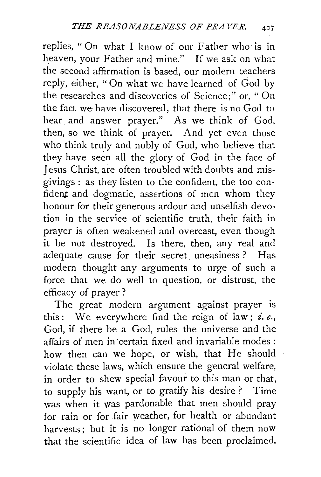replies, "On what I know of our Father who is in heaven, your Father and mine." If we ask on what the second affirmation is based, our modern teachers reply, either, "On what we have learned of God by the researches and discoveries of Science;" or, " On the fact we have discovered, that there is no God to hear. and answer prayer." As we think of God, then, so we think of prayer. And yet even those who think truly and nobly of God, who believe that they have seen all the glory of God in the face of Jesus Christ, are often troubled with doubts and misgivings : as they listen to the confident, the too confident and dogmatic, assertions of men whom they honour for their generous ardour and unselfish devotion in the service of scientific truth, their faith in prayer is often weakened and overcast, even though it be not destroyed. Is there, then, any real and adequate cause for their secret uneasiness ? Has modern thought any arguments to urge of such a force that we do well to question, or distrust, the efficacy of prayer ?

The great modern argument against prayer is this :—We everywhere find the reign of law; *i.e.*, God, if there be a God, rules the universe and the affairs of men in ·certain fixed and invariable modes : how then can we hope, or wish, that He should violate these laws, which ensure the general welfare, in order to shew special favour to this man or that, to supply his want, or to gratify his desire ? Time was when it was pardonable that men should pray for rain or for fair weather, for health or abundant harvests; but it is no longer rational of them now that the scientific idea of law has been proclaimed.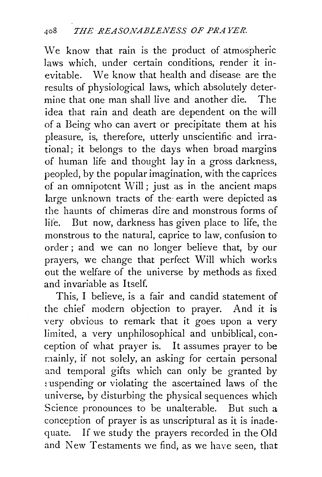We know that rain is the product of atmospheric laws which, under certain conditions, render it inevitable. We know that health and disease are the results of physiological laws, which absolutely determine that one man shall live and another die. The idea that rain and death are dependent on the will of a Being who can avert or precipitate them at his pleasure, is, therefore, utterly unscientific and irrational; it belongs to the days when broad margins of human life and thought lay in a gross darkness, peopled, by the popular imagination, with the caprices of an omnipotent Will; just as in the ancient maps large unknown tracts of the· earth were depicted as the haunts of chimeras dire and monstrous forms of life. But now, darkness has given place to life, the monstrous to the natural, caprice to law, confusion to order ; and we can no longer believe that, by our prayers, we change that perfect Will which works out the welfare of the universe by methods as fixed and invariable as Itself.

This, I believe, is a fair and candid statement of the chief modern objection to prayer. And it is very obvious to remark that it goes upon a very limited, a very unphilosophical and unbiblical, conception of what prayer is. It assumes prayer to be mainly, if not solely, an asking for certain personal and temporal gifts which can only be granted by suspending or violating the ascertained laws of the universe, by disturbing the physical sequences which Science pronounces to be unalterable. But such a conception of prayer is as unscriptural as it is inadequate. If we study the prayers recorded in the Old and New Testaments we find, as we have seen, that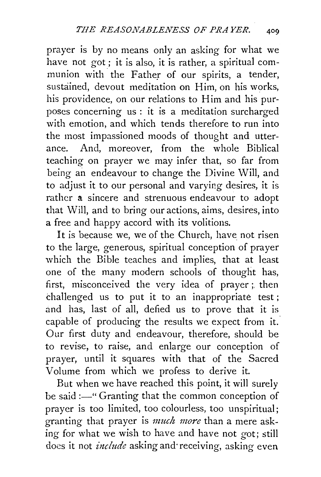prayer is by no means only an asking for what we have not got; it is also, it is rather, a spiritual communion with the Father of our spirits, a tender, sustained, devout meditation on Him, on his works, his providence, on our relations to Him and his purposes concerning us : it is a meditation surcharged with emotion, and which tends therefore to run into the most impassioned moods of thought and utterance. And, moreover, from the whole Biblical teaching on prayer we may infer that, so far from being an endeavour to change the Divine Will, and to adjust it to our personal and varying desires, it is rather a. sincere and strenuous endeavour to adopt that Will, and to bring our actions, aims, desires, into a free and happy accord with its volitions.

It is because we, we of the Church, have not risen to the large, generous, spiritual conception of prayer which the Bible teaches and implies, that at least one of the many modern schools of thought has, first, misconceived the very idea of prayer;. then challenged us to put it to an inappropriate test ; and has, last of all, defied us to prove that it is capable of producing the results we expect from it. Our first duty and endeavour, therefore, should be to revise, to raise, and enlarge our conception of prayer, until it squares with that of the Sacred Volume from which we profess to derive it.

But when we have reached this point, it will surely be said :- "Granting that the common conception of prayer is too limited, too colourless, too unspiritual; granting that prayer is *much more* than a mere asking for what we wish to have and have not got; still does it not *include* asking and· receiving, asking even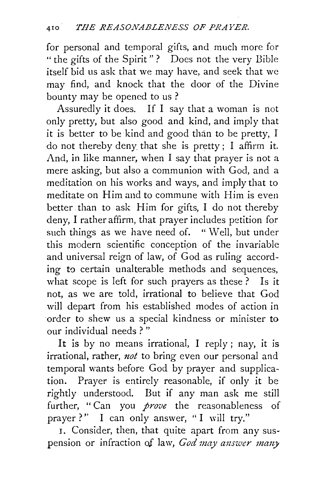for personal and temporal gifts, and much more for " the gifts of the Spirit"? Does not the very Bible itself bid us ask that we may have, and seek that we may find, and knock that the door of the Divine bounty may be opened to us ?

Assuredly it does. If I say that a woman is not only pretty, but also good and kind, and imply that it is better to be kind and good than to be pretty, I do not thereby deny\_ that she is pretty; I affirm it. And, in like manner, when I say that prayer is not a mere asking, but also a communion with God, and a meditation on his works and ways, and imply that to meditate on Him and to commune with Him is even better than to ask Him for gifts, I do not thereby deny, I rather affirm, that prayer includes petition for such things as we have need of. " Well, but under this modern scientific conception of the invariable and universal reign of law, of God as ruling according to certain unalterable methods and sequences, what scope is left for such prayers as these? Is it not, as we are told, irrational to believe that God will depart from his established modes of action in order to shew us a special kindness or minister to our individual needs ? "

It is by no means irrational, I reply; nay, it is irrational, rather, *not* to bring even our personal and temporal wants before God by prayer and supplication. Prayer is entirely reasonable, if only it be rightly understood. But if any man ask me still further, "Can you *prove* the reasonableness of prayer?'' I can only answer, "I will try."

I. Consider, then, that quite apart from any suspension or infraction of law, God may answer many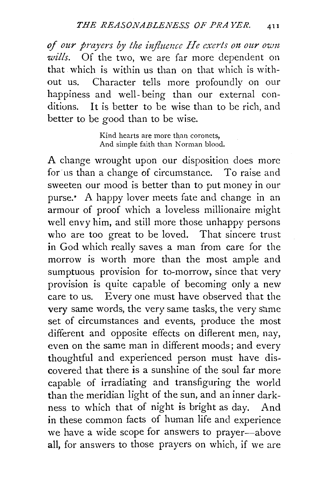of our prayers by the influence He exerts on our own *wills.* Of the two, we are far more dependent on that which is within us than on that which is without us. Character tells more profoundly on our happiness and well-being than our external conditions. It is better to be wise than to be rich, and better to be good than to be wise.

> Kind hearts are more than coronets, And simple faith than Norman blood.

A change wrought upon our disposition does more for us than a change of circumstance. To raise and sweeten our mood is better than to put money in our purse. • A happy lover meets fate and change in an armour of proof which a loveless millionaire might well envy him, and still more those unhappy persons who are too great to be loved. That sincere trust **in** God which really saves a man from care for the morrow is worth more than the most ample and sumptuous provision for to-morrow, since that very provision is quite capable of becoming only a new care to us. Every one must have observed that the very same words, the very same tasks, the very same set of circumstances and events, produce the most different and opposite effects on different men, nay, even on the same man in different moods; and every thoughtful and experienced person must have discovered that there is a sunshine of the soul far more capable of irradiating and transfiguring the world than the meridian light of the sun, and an inner darkness to which that of night is bright as day. And **in** these common facts of human life and experience we have a wide scope for answers to prayer-above all, for answers to those prayers on which, if we are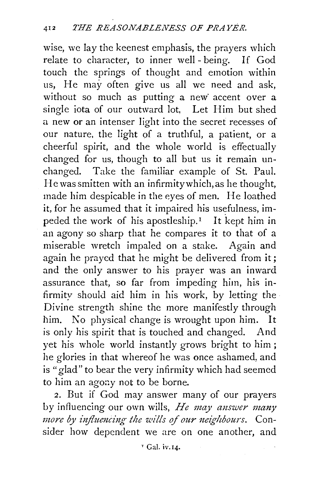wise, we lay the keenest emphasis, the prayers which relate to character, to inner well - being. If God touch the springs of thought and emotion within us, He may often give us all we need and ask, without so much as putting a new accent over a single iota of our outward lot, Let Him but shed a new or an intenser light into the secret recesses of our nature, the light of a truthful, a patient, or a cheerful spirit, and the whole world is effectually changed for us, though to all but us it remain unchanged. Take the familiar example of St. Paul. He was smitten with an infirmitywhich,as he thought, made him despicable in the eyes of men. He loathed it, for he assumed that it impaired his usefulness, impeded the work of his apostleship.<sup> $I$ </sup> It kept him in an agony so sharp that he compares it to that of a miserable wretch impaled on a stake. Again and again he prayed that he might be delivered from it; and the only answer to his prayer was an inward assurance that, so far from impeding him, his infirmity should aid him in his work, by letting the Divine strength shine the more manifestly through him. No physical change is wrought upon him. It is only his spirit that is touched and changed. And yet his whole world instantly grows bright to him; he glories in that whereof he was once ashamed, and is "glad" to bear the very infirmity which had seemed to him an agony not to be borne.

2. But if God may answer many of our prayers by influencing our own wills, *He may answer many more by influencing the wills of our neighbours.* Consider how dependent we are on one another, and

Y Gal. iv.14.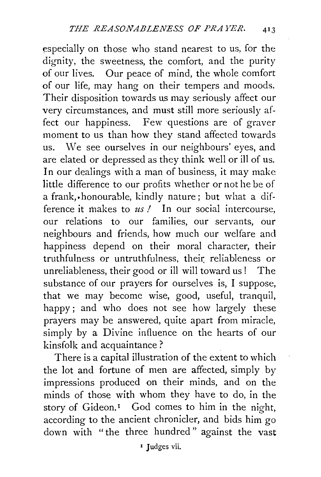especially on those who stand nearest to us, for the dignity, the sweetness, the comfort, and the purity of our lives. Our peace of mind, the whole comfort of our life, may hang on their tempers and moods. Their disposition towards us may seriously affect our very circumstances, and must still more seriously affect our happiness. Few questions are of graver moment to us than how they stand affected towards us. We see ourselves in our neighbours' eyes, and are elated or depressed as they think well or ill of us. In our dealings with a man of business, it may make little difference to our profits whether or not he be of a frank,.honourable, kindly nature; but what a difference it makes to *us!* In our social intercourse, our relations to our families, our servants, our neighbours and friends, how much our welfare and happiness depend on their moral character, their truthfulness or untruthfulness, their: reliableness or unreliableness, their good or ill will toward us ! The substance of our prayers for ourselves is, I suppose, that we may become wise, good, useful, tranquil, happy; and who does not see how largely these prayers may be answered, quite apart from miracle, simply by a Divine influence on the hearts of our kinsfolk and acquaintance ?

There is a capital illustration of the extent to which the lot and fortune of men are affected, simply by impressions produced on their minds, and on the minds of those with whom they have to do, in the story of Gideon.<sup>1</sup> God comes to him in the night, according to the ancient chronicler, and bids him go down with "the three hundred" against the vast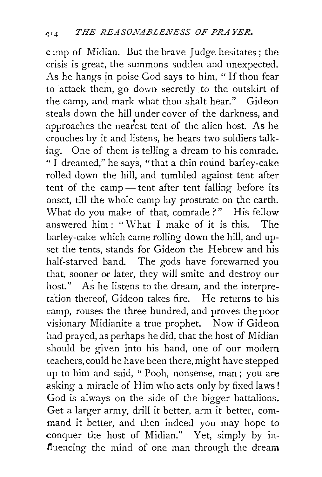c imp of Midian. But the brave Judge hesitates; the crisis is great, the summons sudden and unexpected. As he hangs in poise God says to him, "If thou fear to attack them, go down secretly to the outskirt of the camp, and mark what thou shalt hear." Gideon steals down the hill under cover of the darkness, and approaches the nearest tent of the alien host. As he crouches by it and listens, he hears two soldiers talking. One of them is telling a dream to his comrade. " I dreamed," he says, "that a thin round barley-cake rolled down the hill, and tumbled against tent after tent of the camp — tent after tent falling before its onset, till the whole camp lay prostrate on the earth. What do you make of that, comrade?" His fellow answered him: " $What I$  make of it is this. The barley-cake which came rolling down the hill, and upset the tents, stands for Gideon the Hebrew and his half-starved band. The gods have forewarned you that, sooner or later, they will smite and destroy our host." As he listens to the dream, and the interpreta'tion thereof, Gideon takes fire. He returns to his camp, rouses the three hundred, and proves the poor visionary Midianite a true prophet. Now if Gideon had prayed, as perhaps he did, that the host of Midian should be given into his hand, one of our modern teachers, could he have been there, might have stepped up to him and said, " Pooh, nonsense, man ; you are asking a miracle of Him who acts only by fixed laws! God is always on the side of the bigger battalions. Get a larger army, drill it better, arm it better, command it better, and then indeed you may hope to conquer the host of Midian." Yet, simply by influencing the mind of one man through the dream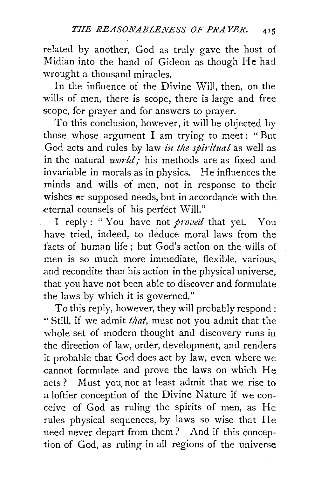related by another, God as truly gave the host of Midian into the hand of Gideon as though He had wrought a thousand miracles.

In the influence of the Divine Will, then, on the wills of men, there is scope, there is large and free scope, for prayer and for answers to prayer.

To this conclusion, however, it will be objected by those whose argument  $I$  am trying to meet: "But God acts and rules by law *in the spiritual* as well as in the natural *world,-* his methods are as fixed and invariable in morals as in physics. He influences the minds and wills of men, not in response to their wishes or supposed needs, but in accordance with the eternal counsels of his perfect Will."

I reply: "You have not *proved* that yet. You have tried, indeed, to deduce moral laws from the facts of human life : but God's action on the wills of men is so much more immediate, flexible, various, and recondite than his action in the physical universe, that you have not been able to discover and formulate the laws by which it is governed."

To this reply, however, they will prcbably respond : •· Still, if we admit *that,* must not you admit that the whole set of modern thought and discovery runs in the direction of law, order, development, and renders it probable that God does act by law, even where we cannot formulate and prove the laws on which He acts? Must you. not at least admit that we rise to a loftier conception of the Divine Nature if we conceive of God as ruling the spirits of men, as He rules physical sequences, by laws so wise that He need never depart from them? And if this conception of God, as ruling in all regions of the universe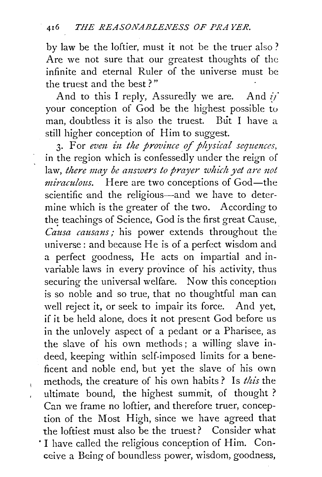by law be the loftier, must it not be the truer also ? Are we not sure that our greatest thoughts of the infinite and eternal Ruler of the universe must be the truest and the best ? "

And to this I reply, Assuredly we are. And  $i\hat{r}$ your conception of God be the highest possible to man, doubtless it is also the truest. But I have a still higher conception of Him to suggest.

3. For even in the province of physical sequences, in the region which is confessedly under the reign of law, *there may be answers to prayer which yet are not miraculous.* Here are two conceptions of God—the scientific and the religious-and we have to determine which is the greater of the two. According to the teachings of Science, God is the first great Cause, *Causa causans;* his power extends throughout the universe: and because He is of a perfect wisdom and a perfect goodness, He acts on impartial and invariable laws in every province of his activity, thus securing the universal welfare. Now this conception is so noble and so true, that no thoughtful man can well reject it, or seek to impair its force. And yet, if it be held alone, does it not present God before us in the unlovely aspect of a pedant or a Pharisee, as the slave of his own methods; a willing slave indeed, keeping within self-imposed limits for a beneficent and noble end, but yet the slave of his own methods, the creature of his own habits? Is *this* the ultimate bound, the highest summit, of thought ? Can we frame no loftier, and therefore truer, conception of the Most High, since we have agreed that the loftiest must also be the truest? Consider what · I have cailed the religious conception of Him. Conceive a Being of boundless power, wisdom, goodness,

Ì.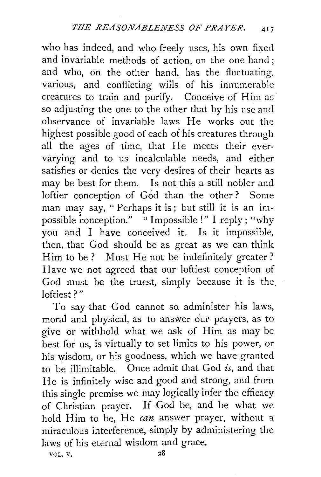who has indeed, and who freely uses, his own fixed and invariable methods of action, on the one hand ; and who, on the other hand, has the fluctuating, various, and conflicting wills of his innumerable creatures to train and purify. Conceive of Him as so adjusting the one to the other that by his use and observance of invariable laws He works out the highest possible good of each of his creatures through all the ages of time, that He meets their evervarying and to us incalculable needs, and either satisfies or denies the very desires of their hearts as may be best for them. Is not this a still nobler and loftier conception of God than the other ? Some man may say, " Perhaps it is; but still it is an impossible conception." " Impossible !" I reply; "why you and I have conceived it. Is it impossible, then, that God should be as great as we can think Him to be? Must He not be indefinitely greater? Have we not agreed that our loftiest conception of God must be the truest, simply because it is the loftiest?"

To say that God cannot so administer his laws, moral and physical, as to answer our prayers, as to give or withhold what we ask of Him as may be best for us, is virtually to set limits to his power, or his wisdom, or his goodness, which we have granted to be illimitable. Once admit that God *is,* and that He is infinitely wise and good and strong, and from this single premise we may logically infer the efficacy of Christian prayer. If God be, and be what we hold Him to be, He *can* answer prayer, without a miraculous interference, simply by administering the laws of his eternal wisdom and grace.

VOL. V. 28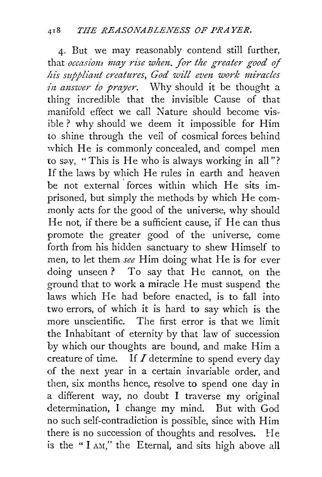4· But we may reasonably contend still further, that *occasions may rise when. for the greater good of his suppliant creatures, God will even work miracles in answer to prayer.* Why should it be thought a thing incredible that the invisible Cause of that manifold effect we call Nature should become visible? why should we deem it impossible for Him to shine through the veil of cosmical forces behind which He is commonly concealed, and compel men to say, "This is He who is always working in all"? If the laws by which He rules in earth and heaven be not external forces within which He sits imprisoned, but simply the methods by which He commonly acts for the good of the universe, why should He not, if there be a sufficient cause, if He can thus promote the greater good of the universe, come forth from his hidden sanctuary to shew Himself to men, to let them *see* Him doing what He is for ever doing unseen? To say that He cannot, on the ground that to work a miracle He must suspend the laws which He had before enacted, is to fall into two errors, of which it is hard to say which is the more unscientific. The first error is that we limit the Inhabitant of eternity by that law of succession by which our thoughts are bound, and make Him a creature of time. If  $I$  determine to spend every day of the next year in a certain invariable order, and then, six months hence, resolve to spend one day in a different way, no doubt I traverse my original determination, I change my mind. But with God no such self-contradiction is possible, since with Him there is no succession of thoughts and resolves. He is the " I AM," the Eternal, and sits high above all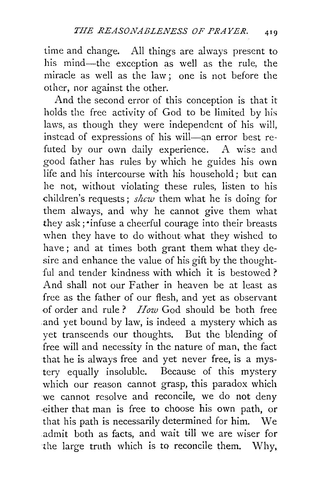time and change. All things are always present to his mind-the exception as well as the rule, the miracle as well as the law; one is not before the other, nor against the other.

And the second error of this conception is that it holds the free activity of God to be limited by his laws, as though they were independent of his will, instead of expressions of his will-an error best refuted by our own daily experience. A wise and good father has rules by which he guides his own life and his intercourse with his household; but can he not, without violating these rules, listen to his children's requests; *shew* them what he is doing for them always, and why he cannot give them what they ask; ·infuse a cheerful courage into their breasts when they have to do without what they wished to have; and at times both grant them what they desire and enhance the value of his gift by the thoughtful and tender kindness with which it is bestowed ? And shall not our Father in heaven be at least as free as the father of our flesh, and yet as observant -of order and rule ? *How* God should be both free and yet bound by law, is indeed a mystery which as yet transcends our thoughts. But the blending of free will and necessity in the nature of man, the fact that he is always free and yet never free, is a mystery equally insoluble. Because of this mystery which our reason cannot grasp, this paradox which we cannot resolve and reconcile, we do not deny -either that man is free to choose his own path, or that his path is necessarily determined for him. We admit both as facts, and wait till we are wiser for the large truth which is to reconcile them. Why,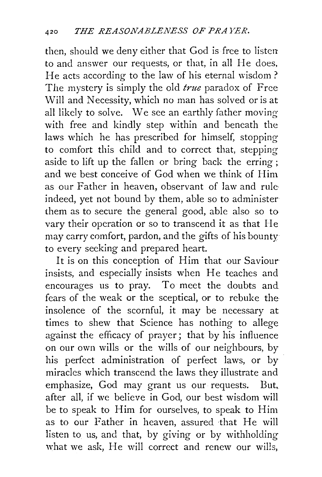then, should we deny either that God is free to listen to and answer our requests, or that, in all He does, He acts according to the law of his eternal wisdom? The mystery is simply the old *true* paradox of Free Will and Necessity, which no man has solved or is at all likely to solve. We see an earthly father moving with free and kindly step within and beneath the laws which he has prescribed for himself, stopping to comfort this child and to correct that, stepping aside to lift up the fallen or bring back the erring; and we best conceive of God when we think of Him as our Father in heaven, observant of law and rule· indeed, yet not bound by them, able so to administer them as to secure the general good, able also so to vary their operation or so to transcend it as that He may carry comfort, pardon, and the gifts of his bounty to every seeking and prepared heart.

It is on this conception of Him that our Saviour insists, and especially insists when He teaches and encourages us to pray. To meet the doubts and fears of the weak or the sceptical, or to rebuke the insolence of the scornful, it may be necessary at times to shew that Science has nothing to allege against the efficacy of prayer; that by his influence on our own wills or the wills of our neighbours, by his perfect administration of perfect laws, or by miracles which transcend the laws they illustrate and emphasize, God may grant us our requests. But, after all, if we believe in God, our best wisdom will be to speak to Him for ourselves, to speak to Him as to our Father in heaven, assured that He will listen to us, and that, by giving or by withholding what we ask, He will correct and renew our wills,